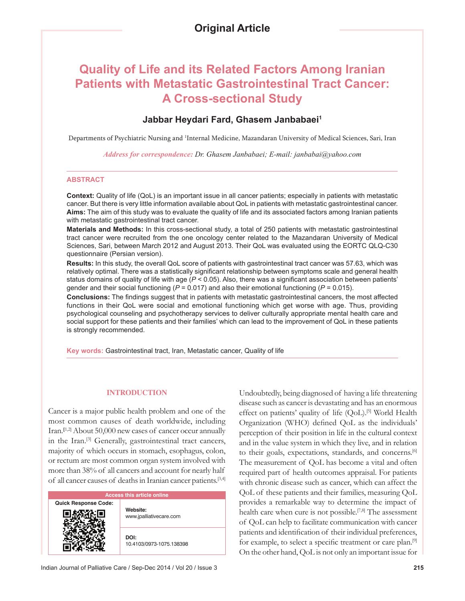# **Quality of Life and its Related Factors Among Iranian Patients with Metastatic Gastrointestinal Tract Cancer: A Cross-sectional Study**

# **Jabbar Heydari Fard, Ghasem Janbabaei1**

Departments of Psychiatric Nursing and <sup>1</sup>Internal Medicine, Mazandaran University of Medical Sciences, Sari, Iran

*Address for correspondence: Dr. Ghasem Janbabaei; E-mail: janbabai@yahoo.com*

## **ABSTRACT**

**Context:** Quality of life (QoL) is an important issue in all cancer patients; especially in patients with metastatic cancer. But there is very little information available about QoL in patients with metastatic gastrointestinal cancer. **Aims:** The aim of this study was to evaluate the quality of life and its associated factors among Iranian patients with metastatic gastrointestinal tract cancer.

**Materials and Methods:** In this cross-sectional study, a total of 250 patients with metastatic gastrointestinal tract cancer were recruited from the one oncology center related to the Mazandaran University of Medical Sciences, Sari, between March 2012 and August 2013. Their QoL was evaluated using the EORTC QLQ-C30 questionnaire (Persian version).

**Results:** In this study, the overall QoL score of patients with gastrointestinal tract cancer was 57.63, which was relatively optimal. There was a statistically significant relationship between symptoms scale and general health status domains of quality of life with age  $(P < 0.05)$ . Also, there was a significant association between patients' gender and their social functioning (*P* = 0.017) and also their emotional functioning (*P* = 0.015).

**Conclusions:** The findings suggest that in patients with metastatic gastrointestinal cancers, the most affected functions in their QoL were social and emotional functioning which get worse with age. Thus, providing psychological counseling and psychotherapy services to deliver culturally appropriate mental health care and social support for these patients and their families' which can lead to the improvement of QoL in these patients is strongly recommended.

**Key words:** Gastrointestinal tract, Iran, Metastatic cancer, Quality of life

## **INTRODUCTION**

Cancer is a major public health problem and one of the most common causes of death worldwide, including Iran.**[**1,2] About 50,000 new cases of cancer occur annually in the Iran.[3] Generally, gastrointestinal tract cancers, majority of which occurs in stomach, esophagus, colon, or rectum are most common organ system involved with more than 38% of all cancers and account for nearly half of all cancer causes of deaths in Iranian cancer patients.[3,4]

| <b>Access this article online</b> |                                     |  |
|-----------------------------------|-------------------------------------|--|
| <b>Quick Response Code:</b>       | Website:<br>www.jpalliativecare.com |  |
|                                   | DOI:<br>10.4103/0973-1075.138398    |  |

Undoubtedly, being diagnosed of having a life threatening disease such as cancer is devastating and has an enormous effect on patients' quality of life (QoL).<sup>[5]</sup> World Health Organization (WHO) defined QoL as the individuals' perception of their position in life in the cultural context and in the value system in which they live, and in relation to their goals, expectations, standards, and concerns.[6] The measurement of QoL has become a vital and often required part of health outcomes appraisal. For patients with chronic disease such as cancer, which can affect the QoL of these patients and their families, measuring QoL provides a remarkable way to determine the impact of health care when cure is not possible.<sup>[7,8]</sup> The assessment of QoL can help to facilitate communication with cancer patients and identification of their individual preferences, for example, to select a specific treatment or care plan.<sup>[9]</sup> On the other hand, QoL is not only an important issue for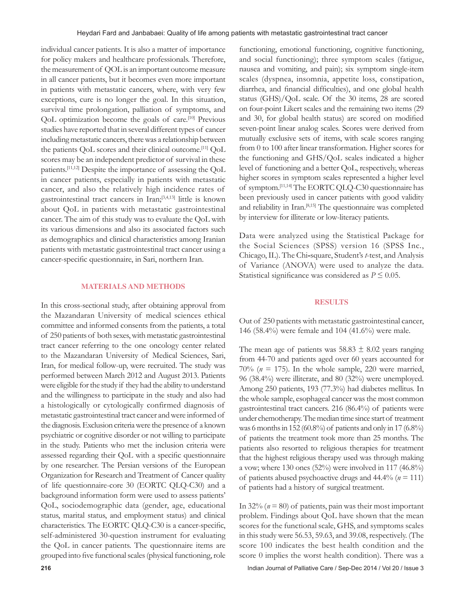individual cancer patients. It is also a matter of importance for policy makers and healthcare professionals. Therefore, the measurement of QOL is an important outcome measure in all cancer patients, but it becomes even more important in patients with metastatic cancers, where, with very few exceptions, cure is no longer the goal. In this situation, survival time prolongation, palliation of symptoms, and QoL optimization become the goals of care.[10] Previous studies have reported that in several different types of cancer including metastatic cancers, there was a relationship between the patients QoL scores and their clinical outcome.[11] QoL scores may be an independent predictor of survival in these patients.[11,12] Despite the importance of assessing the QoL in cancer patients, especially in patients with metastatic cancer, and also the relatively high incidence rates of gastrointestinal tract cancers in Iran;[3,4,13] little is known about QoL in patients with metastatic gastrointestinal cancer. The aim of this study was to evaluate the QoL with its various dimensions and also its associated factors such as demographics and clinical characteristics among Iranian patients with metastatic gastrointestinal tract cancer using a cancer-specific questionnaire, in Sari, northern Iran.

#### **MATERIALS AND METHODS**

In this cross-sectional study, after obtaining approval from the Mazandaran University of medical sciences ethical committee and informed consents from the patients, a total of 250 patients of both sexes, with metastatic gastrointestinal tract cancer referring to the one oncology center related to the Mazandaran University of Medical Sciences, Sari, Iran, for medical follow-up, were recruited. The study was performed between March 2012 and August 2013. Patients were eligible for the study if they had the ability to understand and the willingness to participate in the study and also had a histologically or cytologically confirmed diagnosis of metastatic gastrointestinal tract cancer and were informed of the diagnosis. Exclusion criteria were the presence of a known psychiatric or cognitive disorder or not willing to participate in the study. Patients who met the inclusion criteria were assessed regarding their QoL with a specific questionnaire by one researcher. The Persian versions of the European Organization for Research and Treatment of Cancer quality of life questionnaire-core 30 (EORTC QLQ-C30) and a background information form were used to assess patients' QoL, sociodemographic data (gender, age, educational status, marital status, and employment status) and clinical characteristics. The EORTC QLQ-C30 is a cancer-specific, self-administered 30-question instrument for evaluating the QoL in cancer patients. The questionnaire items are grouped into five functional scales (physical functioning, role

functioning, emotional functioning, cognitive functioning, and social functioning); three symptom scales (fatigue, nausea and vomiting, and pain); six symptom single-item scales (dyspnea, insomnia, appetite loss, constipation, diarrhea, and financial difficulties), and one global health status (GHS)/QoL scale. Of the 30 items, 28 are scored on four-point Likert scales and the remaining two items (29 and 30, for global health status) are scored on modified seven-point linear analog scales. Scores were derived from mutually exclusive sets of items, with scale scores ranging from 0 to 100 after linear transformation. Higher scores for the functioning and GHS/QoL scales indicated a higher level of functioning and a better QoL, respectively, whereas higher scores in symptom scales represented a higher level of symptom.[11,14] The EORTC QLQ-C30 questionnaire has been previously used in cancer patients with good validity and reliability in Iran.[8,15] The questionnaire was completed by interview for illiterate or low-literacy patients.

Data were analyzed using the Statistical Package for the Social Sciences (SPSS) version 16 (SPSS Inc., Chicago, IL). The Chi**-**square, Student's *t*-test, and Analysis of Variance (ANOVA) were used to analyze the data. Statistical significance was considered as  $P \leq 0.05$ .

## **RESULTS**

Out of 250 patients with metastatic gastrointestinal cancer, 146 (58.4%) were female and 104 (41.6%) were male.

The mean age of patients was  $58.83 \pm 8.02$  years ranging from 44-70 and patients aged over 60 years accounted for 70% ( $n = 175$ ). In the whole sample, 220 were married, 96 (38.4%) were illiterate, and 80 (32%) were unemployed. Among 250 patients, 193 (77.3%) had diabetes mellitus. In the whole sample, esophageal cancer was the most common gastrointestinal tract cancers. 216 (86.4%) of patients were under chemotherapy. The median time since start of treatment was 6 months in 152 (60.8%) of patients and only in 17 (6.8%) of patients the treatment took more than 25 months. The patients also resorted to religious therapies for treatment that the highest religious therapy used was through making a vow; where 130 ones (52%) were involved in 117 (46.8%) of patients abused psychoactive drugs and 44.4% (*n* = 111) of patients had a history of surgical treatment.

In  $32\%$  ( $n = 80$ ) of patients, pain was their most important problem. Findings about QoL have shown that the mean scores for the functional scale, GHS, and symptoms scales in this study were 56.53, 59.63, and 39.08, respectively. (The score 100 indicates the best health condition and the score 0 implies the worst health condition). There was a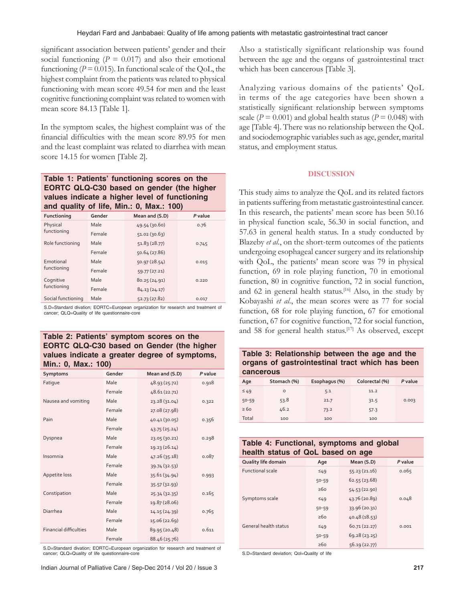significant association between patients' gender and their social functioning  $(P = 0.017)$  and also their emotional functioning ( $P = 0.015$ ). In functional scale of the QoL, the highest complaint from the patients was related to physical functioning with mean score 49.54 for men and the least cognitive functioning complaint was related to women with mean score 84.13 [Table 1].

In the symptom scales, the highest complaint was of the financial difficulties with the mean score 89.95 for men and the least complaint was related to diarrhea with mean score 14.15 for women [Table 2].

## **Table 1: Patients' functioning scores on the EORTC QLQ-C30 based on gender (the higher values indicate a higher level of functioning and quality of life, Min.: 0, Max.: 100)**

| Functioning              | Gender | Mean and (S.D) | P value |
|--------------------------|--------|----------------|---------|
| Physical                 | Male   | 49.54 (30.60)  | 0.76    |
| functioning              | Female | 51.02(30.63)   |         |
| Role functioning         | Male   | 51.83(28.77)   | 0.745   |
|                          | Female | 50.64 (27.86)  |         |
| Emotional<br>functioning | Male   | 50.97(28.54)   | 0.015   |
|                          | Female | 59.77 (27.21)  |         |
| Cognitive<br>functioning | Male   | 80.25(24.91)   | 0.220   |
|                          | Female | 84.13(24.17)   |         |
| Social functioning       | Male   | 52.73 (27.82)  | 0.017   |

S.D=Standard divation; EORTC=European organization for research and treatment of cancer; QLQ=Quality of life questionnaire-core

## **Table 2: Patients' symptom scores on the EORTC QLQ-C30 based on Gender (the higher values indicate a greater degree of symptoms, Min.: 0, Max.: 100)**

| Symptoms                      | Gender | Mean and (S.D) | P value |
|-------------------------------|--------|----------------|---------|
| Fatique                       | Male   | 48.93 (25.72)  | 0.918   |
|                               | Female | 48.61 (22.71)  |         |
| Nausea and vomiting           | Male   | 23.28 (31.04)  | 0.322   |
|                               | Female | 27.08 (27.98)  |         |
| Pain                          | Male   | 40.41 (30.05)  | 0.356   |
|                               | Female | 43.75(25.24)   |         |
| Dyspnea                       | Male   | 23.05 (30.21)  | 0.298   |
|                               | Female | 19.23 (26.14)  |         |
| Insomnia                      | Male   | 47.26 (35.18)  | 0.087   |
|                               | Female | 39.74 (32.53)  |         |
| Appetite loss                 | Male   | 35.61 (34.94)  | 0.993   |
|                               | Female | 35.57(32.93)   |         |
| Constipation                  | Male   | 25.34 (32.35)  | 0.165   |
|                               | Female | 19.87 (28.06)  |         |
| Diarrhea                      | Male   | 14.15 (24.39)  | 0.765   |
|                               | Female | 15.06 (22.69)  |         |
| <b>Financial difficulties</b> | Male   | 89.95 (20.48)  | 0.611   |
|                               | Female | 88.46 (25.76)  |         |

S.D=Standard divation; EORTC=European organization for research and treatment of cancer; QLQ=Quality of life questionnaire-core

Also a statistically significant relationship was found between the age and the organs of gastrointestinal tract which has been cancerous [Table 3].

Analyzing various domains of the patients' QoL in terms of the age categories have been shown a statistically significant relationship between symptoms scale ( $P = 0.001$ ) and global health status ( $P = 0.048$ ) with age [Table 4]. There was no relationship between the QoL and sociodemographic variables such as age, gender, marital status, and employment status.

## **DISCUSSION**

This study aims to analyze the QoL and its related factors in patients suffering from metastatic gastrointestinal cancer. In this research, the patients' mean score has been 50.16 in physical function scale, 56.30 in social function, and 57.63 in general health status. In a study conducted by Blazeby *et al*., on the short-term outcomes of the patients undergoing esophageal cancer surgery and its relationship with QoL, the patients' mean score was 79 in physical function, 69 in role playing function, 70 in emotional function, 80 in cognitive function, 72 in social function, and  $62$  in general health status.<sup>[16]</sup> Also, in the study by Kobayashi *et al*., the mean scores were as 77 for social function, 68 for role playing function, 67 for emotional function, 67 for cognitive function, 72 for social function, and 58 for general health status.<sup>[17]</sup> As observed, except

**Table 3: Relationship between the age and the organs of gastrointestinal tract which has been cancerous**

| Age       | Stomach (%) | Esophagus (%) | Colorectal (%) | P value |
|-----------|-------------|---------------|----------------|---------|
| $\leq 49$ | $\circ$     | 5.1           | 11.2           |         |
| $50 - 59$ | 53.8        | 21.7          | 31.5           | 0.003   |
| $\geq 60$ | 46.2        | 73.2          | 57.3           |         |
| Total     | 100         | 100           | 100            |         |

## **Table 4: Functional, symptoms and global health status of QoL based on age**

| Quality life domain     | Age       | Mean (S.D)    | P value |
|-------------------------|-----------|---------------|---------|
| <b>Functional scale</b> | 549       | 55.23(21.16)  | 0.065   |
|                         | $50 - 59$ | 62.55(23.68)  |         |
|                         | >60       | 54.53(22.90)  |         |
| Symptoms scale          | 549       | 43.76 (20.89) | 0.048   |
|                         | $50 - 59$ | 33.96 (20.31) |         |
|                         | >60       | 40.48 (18.53) |         |
| General health status   | 549       | 60.71(22.27)  | 0.001   |
|                         | $50 - 59$ | 69.28(23.25)  |         |
|                         | $\geq 60$ | 56.19(22.77)  |         |

S.D=Standard deviation; Qol=Quality of life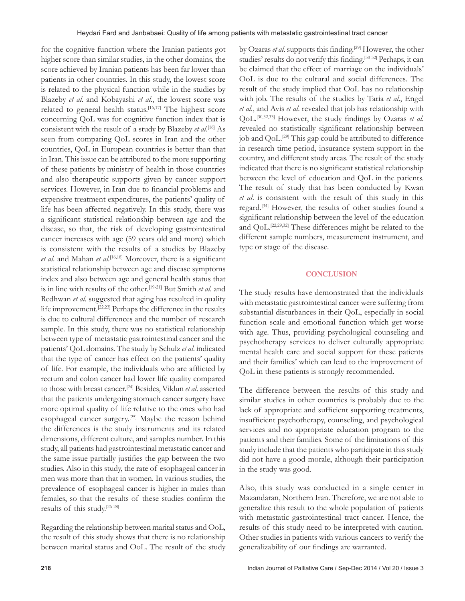for the cognitive function where the Iranian patients got higher score than similar studies, in the other domains, the score achieved by Iranian patients has been far lower than patients in other countries. In this study, the lowest score is related to the physical function while in the studies by Blazeby *et al*. and Kobayashi *et al*., the lowest score was related to general health status.<sup>[16,17]</sup> The highest score concerning QoL was for cognitive function index that is consistent with the result of a study by Blazeby *et al*. [16] As seen from comparing QoL scores in Iran and the other countries, QoL in European countries is better than that in Iran. This issue can be attributed to the more supporting of these patients by ministry of health in those countries and also therapeutic supports given by cancer support services. However, in Iran due to financial problems and expensive treatment expenditures, the patients' quality of life has been affected negatively. In this study, there was a significant statistical relationship between age and the disease, so that, the risk of developing gastrointestinal cancer increases with age (59 years old and more) which is consistent with the results of a studies by Blazeby *et al.* and Mahan *et al.*<sup>[16,18]</sup> Moreover, there is a significant statistical relationship between age and disease symptoms index and also between age and general health status that is in line with results of the other.[19-21] But Smith *et al*. and Redhwan *et al*. suggested that aging has resulted in quality life improvement.[22,23] Perhaps the difference in the results is due to cultural differences and the number of research sample. In this study, there was no statistical relationship between type of metastatic gastrointestinal cancer and the patients' QoL domains. The study by Schulz *et al*. indicated that the type of cancer has effect on the patients' quality of life. For example, the individuals who are afflicted by rectum and colon cancer had lower life quality compared to those with breast cancer.[24] Besides, Viklun *et al*. asserted that the patients undergoing stomach cancer surgery have more optimal quality of life relative to the ones who had esophageal cancer surgery.[25] Maybe the reason behind the differences is the study instruments and its related dimensions, different culture, and samples number. In this study, all patients had gastrointestinal metastatic cancer and the same issue partially justifies the gap between the two studies. Also in this study, the rate of esophageal cancer in men was more than that in women. In various studies, the prevalence of esophageal cancer is higher in males than females, so that the results of these studies confirm the results of this study.[26-28]

Regarding the relationship between marital status and OoL, the result of this study shows that there is no relationship between marital status and OoL. The result of the study by Ozaras *et al.* supports this finding.<sup>[29]</sup> However, the other studies' results do not verify this finding.<sup>[30-32]</sup> Perhaps, it can be claimed that the effect of marriage on the individuals' OoL is due to the cultural and social differences. The result of the study implied that OoL has no relationship with job. The results of the studies by Taria *et al*., Engel *et al*., and Avis *et al*. revealed that job has relationship with QoL.<sup>[30,32,33]</sup> However, the study findings by Ozaras et al. revealed no statistically significant relationship between job and QoL.<sup>[29]</sup> This gap could be attributed to difference in research time period, insurance system support in the country, and different study areas. The result of the study indicated that there is no significant statistical relationship between the level of education and QoL in the patients. The result of study that has been conducted by Kwan *et al*. is consistent with the result of this study in this regard.[34] However, the results of other studies found a significant relationship between the level of the education and QoL.[22,29,32] These differences might be related to the different sample numbers, measurement instrument, and type or stage of the disease.

### **CONCLUSION**

The study results have demonstrated that the individuals with metastatic gastrointestinal cancer were suffering from substantial disturbances in their QoL, especially in social function scale and emotional function which get worse with age. Thus, providing psychological counseling and psychotherapy services to deliver culturally appropriate mental health care and social support for these patients and their families' which can lead to the improvement of QoL in these patients is strongly recommended.

The difference between the results of this study and similar studies in other countries is probably due to the lack of appropriate and sufficient supporting treatments, insufficient psychotherapy, counseling, and psychological services and no appropriate education program to the patients and their families. Some of the limitations of this study include that the patients who participate in this study did not have a good morale, although their participation in the study was good.

Also, this study was conducted in a single center in Mazandaran, Northern Iran. Therefore, we are not able to generalize this result to the whole population of patients with metastatic gastrointestinal tract cancer. Hence, the results of this study need to be interpreted with caution. Other studies in patients with various cancers to verify the generalizability of our findings are warranted.